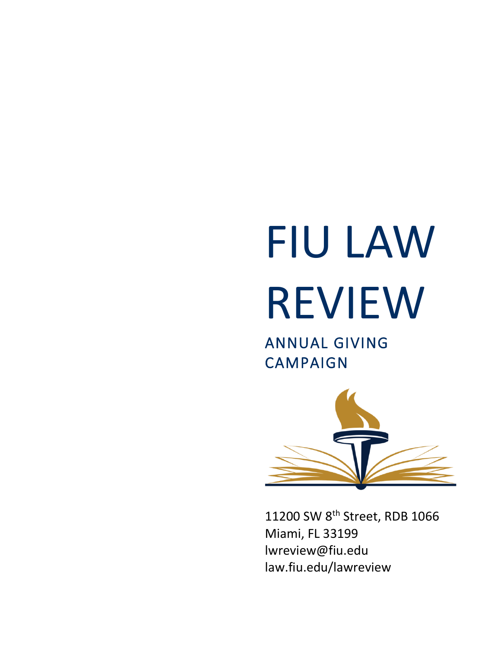# FIU LAW REVIEW

ANNUAL GIVING CAMPAIGN



11200 SW 8<sup>th</sup> Street, RDB 1066 Miami, FL 33199 lwreview@fiu.edu law.fiu.edu/lawreview